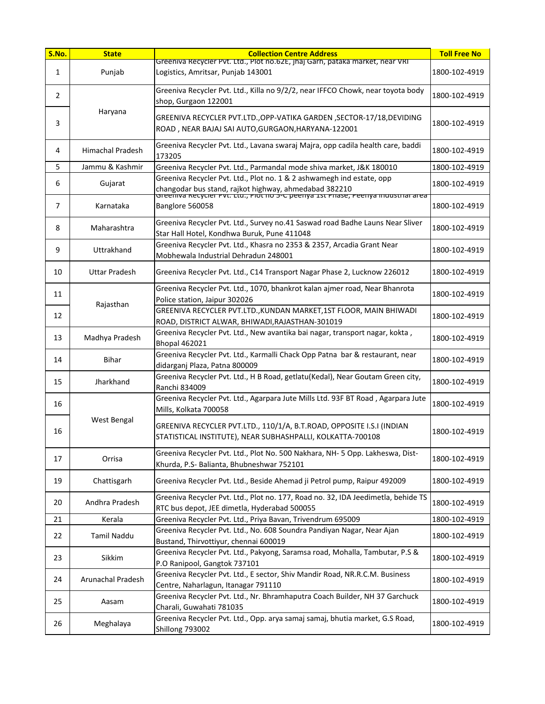| S.No. | <b>State</b>         | <b>Collection Centre Address</b>                                                                                                                                                                                    | <b>Toll Free No</b> |
|-------|----------------------|---------------------------------------------------------------------------------------------------------------------------------------------------------------------------------------------------------------------|---------------------|
| 1     | Punjab               | Greeniva Recycler Pvt. Ltd., Plot no.62E, Jnaj Garn, pataka market, near VRI<br>Logistics, Amritsar, Punjab 143001                                                                                                  | 1800-102-4919       |
| 2     |                      | Greeniva Recycler Pvt. Ltd., Killa no 9/2/2, near IFFCO Chowk, near toyota body<br>shop, Gurgaon 122001                                                                                                             | 1800-102-4919       |
| 3     | Haryana              | GREENIVA RECYCLER PVT.LTD., OPP-VATIKA GARDEN, SECTOR-17/18, DEVIDING<br>ROAD, NEAR BAJAJ SAI AUTO, GURGAON, HARYANA-122001                                                                                         | 1800-102-4919       |
| 4     | Himachal Pradesh     | Greeniva Recycler Pvt. Ltd., Lavana swaraj Majra, opp cadila health care, baddi<br>173205                                                                                                                           | 1800-102-4919       |
| 5     | Jammu & Kashmir      | Greeniva Recycler Pvt. Ltd., Parmandal mode shiva market, J&K 180010                                                                                                                                                | 1800-102-4919       |
| 6     | Gujarat              | Greeniva Recycler Pvt. Ltd., Plot no. 1 & 2 ashwamegh ind estate, opp<br>changodar bus stand, rajkot highway, ahmedabad 382210<br>उreeniva Recycler Pvt. Ltd., Piot no 5-C peenya 1st Priase, Peenya muustrial area | 1800-102-4919       |
| 7     | Karnataka            | Banglore 560058                                                                                                                                                                                                     | 1800-102-4919       |
| 8     | Maharashtra          | Greeniva Recycler Pvt. Ltd., Survey no.41 Saswad road Badhe Launs Near Sliver<br>Star Hall Hotel, Kondhwa Buruk, Pune 411048                                                                                        | 1800-102-4919       |
| 9     | Uttrakhand           | Greeniva Recycler Pvt. Ltd., Khasra no 2353 & 2357, Arcadia Grant Near<br>Mobhewala Industrial Dehradun 248001                                                                                                      | 1800-102-4919       |
| 10    | <b>Uttar Pradesh</b> | Greeniva Recycler Pvt. Ltd., C14 Transport Nagar Phase 2, Lucknow 226012                                                                                                                                            | 1800-102-4919       |
| 11    | Rajasthan            | Greeniva Recycler Pvt. Ltd., 1070, bhankrot kalan ajmer road, Near Bhanrota<br>Police station, Jaipur 302026                                                                                                        | 1800-102-4919       |
| 12    |                      | GREENIVA RECYCLER PVT.LTD., KUNDAN MARKET, 1ST FLOOR, MAIN BHIWADI<br>ROAD, DISTRICT ALWAR, BHIWADI, RAJASTHAN-301019                                                                                               | 1800-102-4919       |
| 13    | Madhya Pradesh       | Greeniva Recycler Pvt. Ltd., New avantika bai nagar, transport nagar, kokta,<br><b>Bhopal 462021</b>                                                                                                                | 1800-102-4919       |
| 14    | <b>Bihar</b>         | Greeniva Recycler Pvt. Ltd., Karmalli Chack Opp Patna bar & restaurant, near<br>didarganj Plaza, Patna 800009                                                                                                       | 1800-102-4919       |
| 15    | Jharkhand            | Greeniva Recycler Pvt. Ltd., H B Road, getlatu(Kedal), Near Goutam Green city,<br>Ranchi 834009                                                                                                                     | 1800-102-4919       |
| 16    |                      | Greeniva Recycler Pvt. Ltd., Agarpara Jute Mills Ltd. 93F BT Road, Agarpara Jute<br>Mills, Kolkata 700058                                                                                                           | 1800-102-4919       |
| 16    | West Bengal          | GREENIVA RECYCLER PVT.LTD., 110/1/A, B.T.ROAD, OPPOSITE I.S.I (INDIAN<br>STATISTICAL INSTITUTE), NEAR SUBHASHPALLI, KOLKATTA-700108                                                                                 | 1800-102-4919       |
| 17    | Orrisa               | Greeniva Recycler Pvt. Ltd., Plot No. 500 Nakhara, NH- 5 Opp. Lakheswa, Dist-<br>Khurda, P.S- Balianta, Bhubneshwar 752101                                                                                          | 1800-102-4919       |
| 19    | Chattisgarh          | Greeniva Recycler Pvt. Ltd., Beside Ahemad ji Petrol pump, Raipur 492009                                                                                                                                            | 1800-102-4919       |
| 20    | Andhra Pradesh       | Greeniva Recycler Pvt. Ltd., Plot no. 177, Road no. 32, IDA Jeedimetla, behide TS<br>RTC bus depot, JEE dimetla, Hyderabad 500055                                                                                   | 1800-102-4919       |
| 21    | Kerala               | Greeniva Recycler Pvt. Ltd., Priya Bavan, Trivendrum 695009                                                                                                                                                         | 1800-102-4919       |
| 22    | Tamil Naddu          | Greeniva Recycler Pvt. Ltd., No. 608 Soundra Pandiyan Nagar, Near Ajan<br>Bustand, Thirvottiyur, chennai 600019                                                                                                     | 1800-102-4919       |
| 23    | Sikkim               | Greeniva Recycler Pvt. Ltd., Pakyong, Saramsa road, Mohalla, Tambutar, P.S &<br>P.O Ranipool, Gangtok 737101                                                                                                        | 1800-102-4919       |
| 24    | Arunachal Pradesh    | Greeniva Recycler Pvt. Ltd., E sector, Shiv Mandir Road, NR.R.C.M. Business<br>Centre, Naharlagun, Itanagar 791110                                                                                                  | 1800-102-4919       |
| 25    | Aasam                | Greeniva Recycler Pvt. Ltd., Nr. Bhramhaputra Coach Builder, NH 37 Garchuck<br>Charali, Guwahati 781035                                                                                                             | 1800-102-4919       |
| 26    | Meghalaya            | Greeniva Recycler Pvt. Ltd., Opp. arya samaj samaj, bhutia market, G.S Road,<br>Shillong 793002                                                                                                                     | 1800-102-4919       |